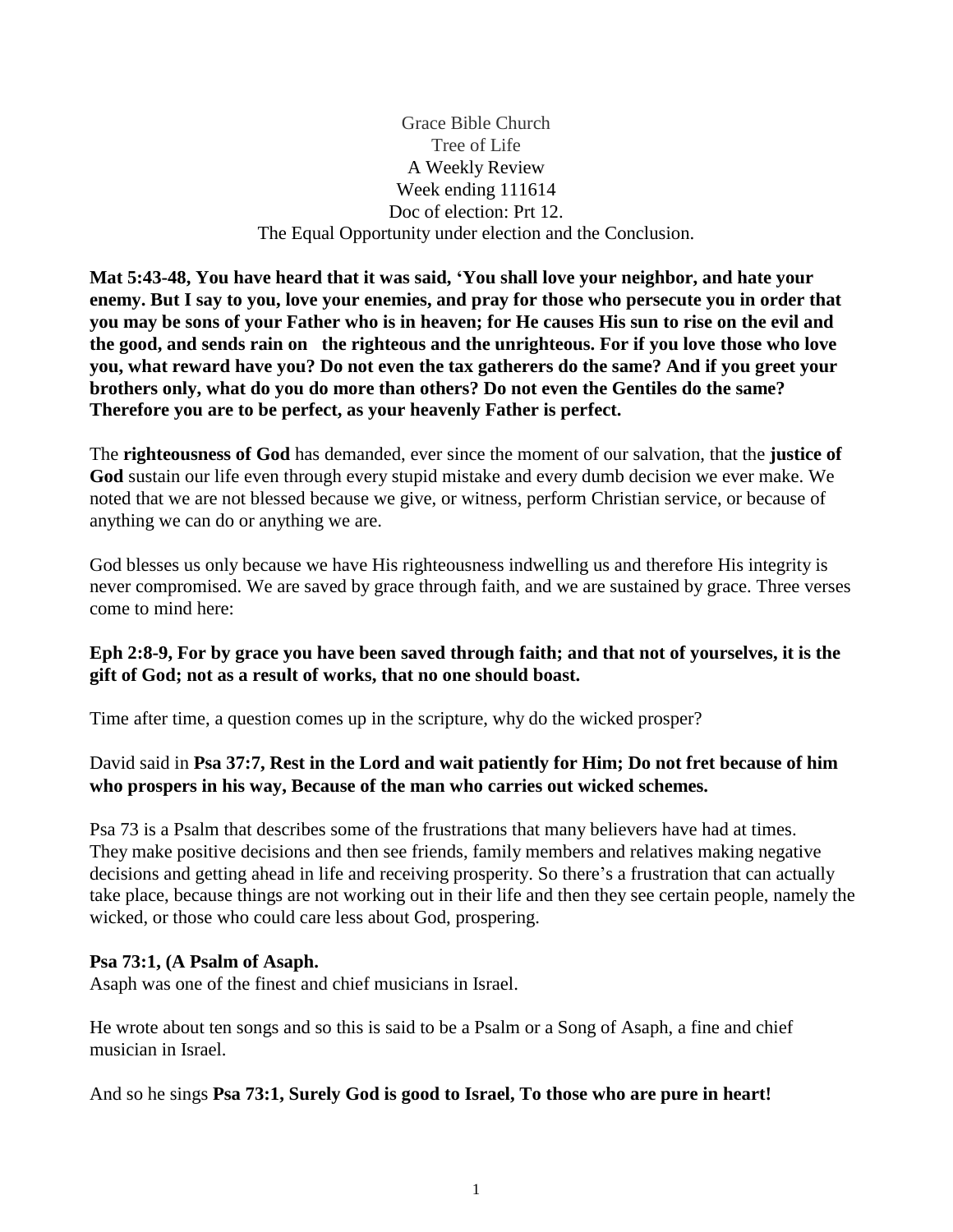Grace Bible Church Tree of Life A Weekly Review Week ending 111614 Doc of election: Prt 12. The Equal Opportunity under election and the Conclusion.

**Mat 5:43-48, You have heard that it was said, 'You shall love your neighbor, and hate your enemy. But I say to you, love your enemies, and pray for those who persecute you in order that you may be sons of your Father who is in heaven; for He causes His sun to rise on the evil and the good, and sends rain on the righteous and the unrighteous. For if you love those who love you, what reward have you? Do not even the tax gatherers do the same? And if you greet your brothers only, what do you do more than others? Do not even the Gentiles do the same? Therefore you are to be perfect, as your heavenly Father is perfect.**

The **righteousness of God** has demanded, ever since the moment of our salvation, that the **justice of God** sustain our life even through every stupid mistake and every dumb decision we ever make. We noted that we are not blessed because we give, or witness, perform Christian service, or because of anything we can do or anything we are.

God blesses us only because we have His righteousness indwelling us and therefore His integrity is never compromised. We are saved by grace through faith, and we are sustained by grace. Three verses come to mind here:

#### **Eph 2:8-9, For by grace you have been saved through faith; and that not of yourselves, it is the gift of God; not as a result of works, that no one should boast.**

Time after time, a question comes up in the scripture, why do the wicked prosper?

# David said in **Psa 37:7, Rest in the Lord and wait patiently for Him; Do not fret because of him who prospers in his way, Because of the man who carries out wicked schemes.**

Psa 73 is a Psalm that describes some of the frustrations that many believers have had at times. They make positive decisions and then see friends, family members and relatives making negative decisions and getting ahead in life and receiving prosperity. So there's a frustration that can actually take place, because things are not working out in their life and then they see certain people, namely the wicked, or those who could care less about God, prospering.

#### **Psa 73:1, (A Psalm of Asaph.**

Asaph was one of the finest and chief musicians in Israel.

He wrote about ten songs and so this is said to be a Psalm or a Song of Asaph, a fine and chief musician in Israel.

#### And so he sings **Psa 73:1, Surely God is good to Israel, To those who are pure in heart!**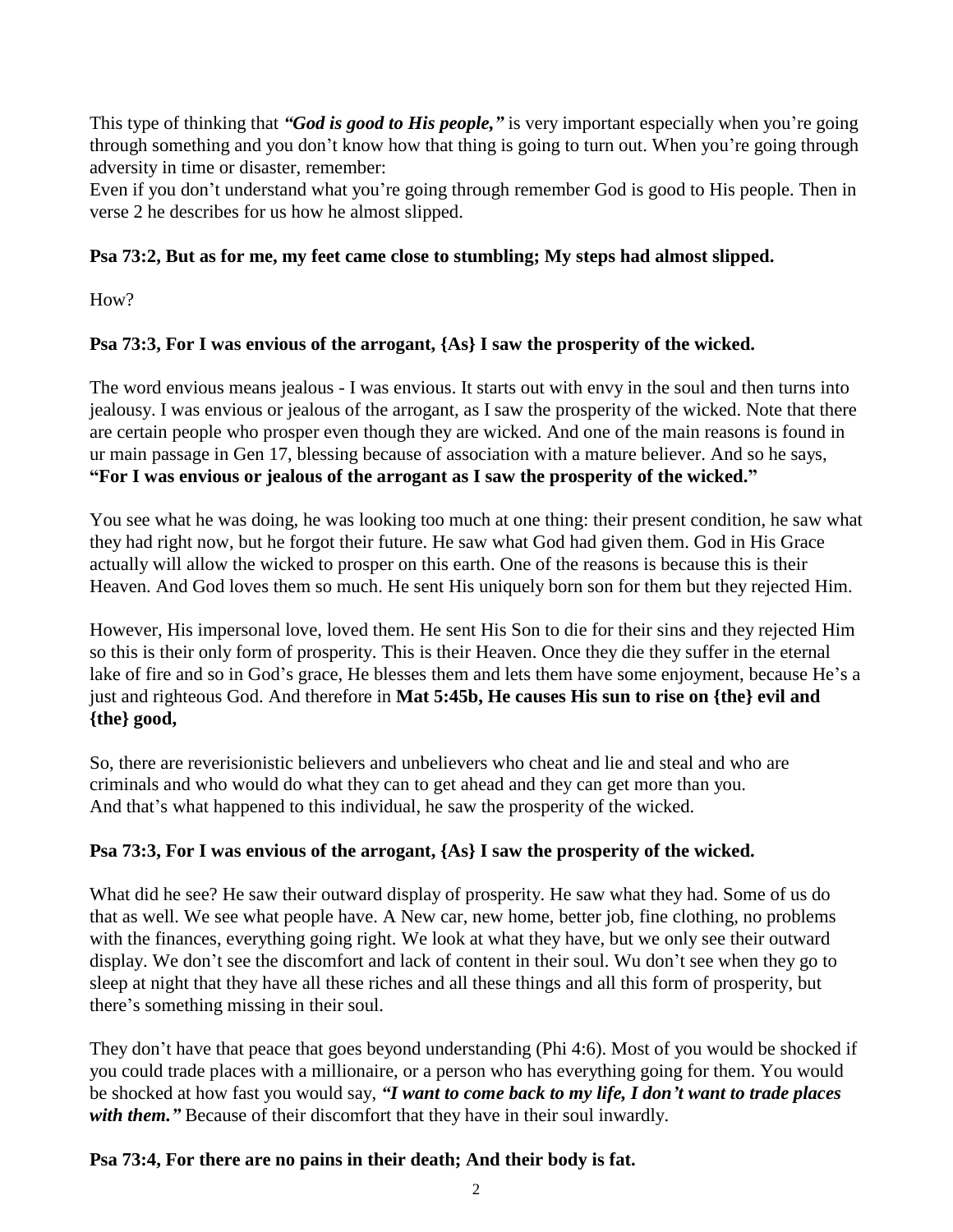This type of thinking that *"God is good to His people,"* is very important especially when you're going through something and you don't know how that thing is going to turn out. When you're going through adversity in time or disaster, remember:

Even if you don't understand what you're going through remember God is good to His people. Then in verse 2 he describes for us how he almost slipped.

# **Psa 73:2, But as for me, my feet came close to stumbling; My steps had almost slipped.**

How?

# **Psa 73:3, For I was envious of the arrogant, {As} I saw the prosperity of the wicked.**

The word envious means jealous - I was envious. It starts out with envy in the soul and then turns into jealousy. I was envious or jealous of the arrogant, as I saw the prosperity of the wicked. Note that there are certain people who prosper even though they are wicked. And one of the main reasons is found in ur main passage in Gen 17, blessing because of association with a mature believer. And so he says, **"For I was envious or jealous of the arrogant as I saw the prosperity of the wicked."** 

You see what he was doing, he was looking too much at one thing: their present condition, he saw what they had right now, but he forgot their future. He saw what God had given them. God in His Grace actually will allow the wicked to prosper on this earth. One of the reasons is because this is their Heaven. And God loves them so much. He sent His uniquely born son for them but they rejected Him.

However, His impersonal love, loved them. He sent His Son to die for their sins and they rejected Him so this is their only form of prosperity. This is their Heaven. Once they die they suffer in the eternal lake of fire and so in God's grace, He blesses them and lets them have some enjoyment, because He's a just and righteous God. And therefore in **Mat 5:45b, He causes His sun to rise on {the} evil and {the} good,**

So, there are reverisionistic believers and unbelievers who cheat and lie and steal and who are criminals and who would do what they can to get ahead and they can get more than you. And that's what happened to this individual, he saw the prosperity of the wicked.

# **Psa 73:3, For I was envious of the arrogant, {As} I saw the prosperity of the wicked.**

What did he see? He saw their outward display of prosperity. He saw what they had. Some of us do that as well. We see what people have. A New car, new home, better job, fine clothing, no problems with the finances, everything going right. We look at what they have, but we only see their outward display. We don't see the discomfort and lack of content in their soul. Wu don't see when they go to sleep at night that they have all these riches and all these things and all this form of prosperity, but there's something missing in their soul.

They don't have that peace that goes beyond understanding (Phi 4:6). Most of you would be shocked if you could trade places with a millionaire, or a person who has everything going for them. You would be shocked at how fast you would say, *"I want to come back to my life, I don't want to trade places*  with them." Because of their discomfort that they have in their soul inwardly.

# **Psa 73:4, For there are no pains in their death; And their body is fat.**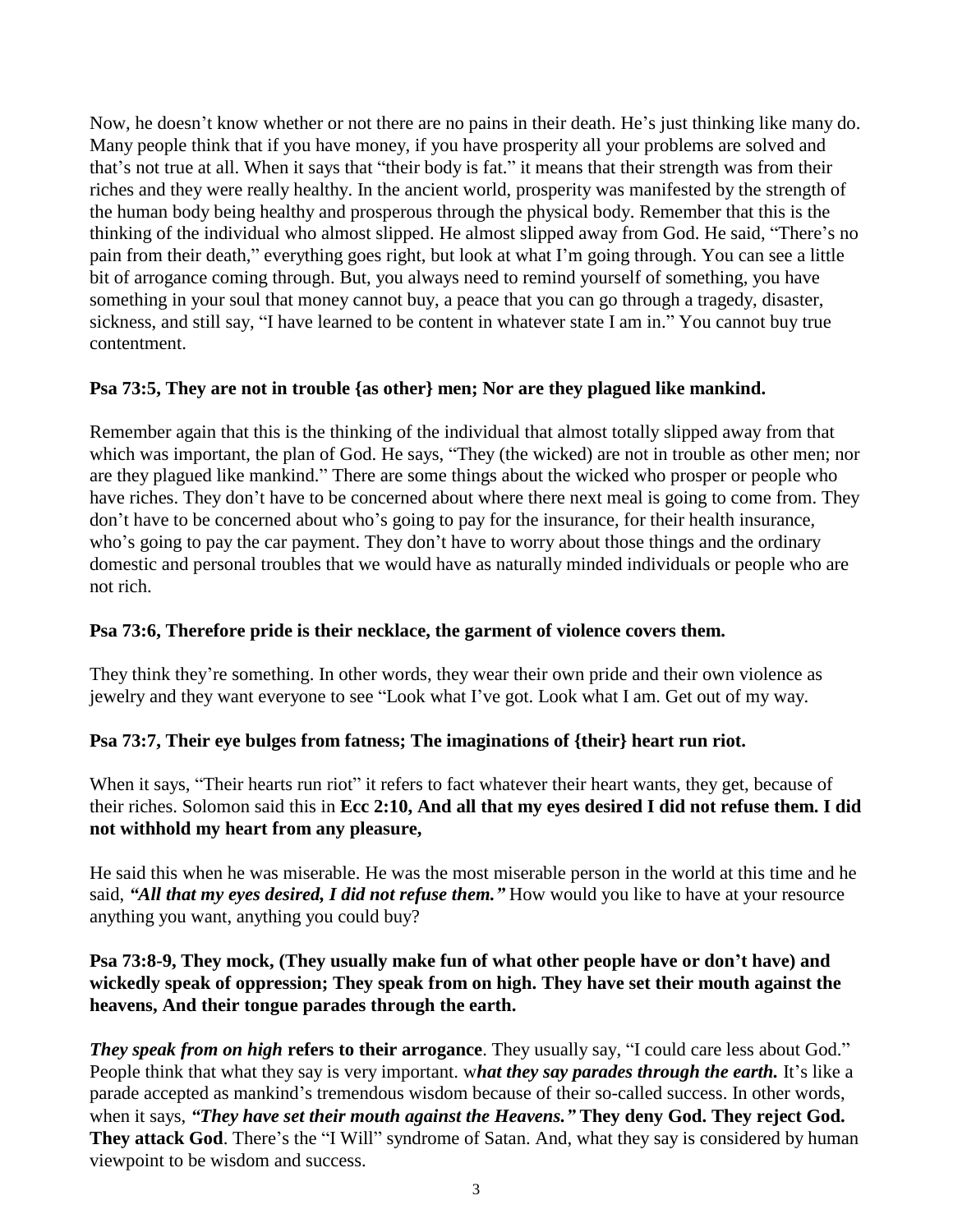Now, he doesn't know whether or not there are no pains in their death. He's just thinking like many do. Many people think that if you have money, if you have prosperity all your problems are solved and that's not true at all. When it says that "their body is fat." it means that their strength was from their riches and they were really healthy. In the ancient world, prosperity was manifested by the strength of the human body being healthy and prosperous through the physical body. Remember that this is the thinking of the individual who almost slipped. He almost slipped away from God. He said, "There's no pain from their death," everything goes right, but look at what I'm going through. You can see a little bit of arrogance coming through. But, you always need to remind yourself of something, you have something in your soul that money cannot buy, a peace that you can go through a tragedy, disaster, sickness, and still say, "I have learned to be content in whatever state I am in." You cannot buy true contentment.

# **Psa 73:5, They are not in trouble {as other} men; Nor are they plagued like mankind.**

Remember again that this is the thinking of the individual that almost totally slipped away from that which was important, the plan of God. He says, "They (the wicked) are not in trouble as other men; nor are they plagued like mankind." There are some things about the wicked who prosper or people who have riches. They don't have to be concerned about where there next meal is going to come from. They don't have to be concerned about who's going to pay for the insurance, for their health insurance, who's going to pay the car payment. They don't have to worry about those things and the ordinary domestic and personal troubles that we would have as naturally minded individuals or people who are not rich.

#### **Psa 73:6, Therefore pride is their necklace, the garment of violence covers them.**

They think they're something. In other words, they wear their own pride and their own violence as jewelry and they want everyone to see "Look what I've got. Look what I am. Get out of my way.

# **Psa 73:7, Their eye bulges from fatness; The imaginations of {their} heart run riot.**

When it says, "Their hearts run riot" it refers to fact whatever their heart wants, they get, because of their riches. Solomon said this in **Ecc 2:10, And all that my eyes desired I did not refuse them. I did not withhold my heart from any pleasure,**

He said this when he was miserable. He was the most miserable person in the world at this time and he said, *"All that my eyes desired, I did not refuse them."* How would you like to have at your resource anything you want, anything you could buy?

# **Psa 73:8-9, They mock, (They usually make fun of what other people have or don't have) and wickedly speak of oppression; They speak from on high. They have set their mouth against the heavens, And their tongue parades through the earth.**

*They speak from on high* **refers to their arrogance**. They usually say, "I could care less about God." People think that what they say is very important. w*hat they say parades through the earth.* It's like a parade accepted as mankind's tremendous wisdom because of their so-called success. In other words, when it says, *"They have set their mouth against the Heavens."* **They deny God. They reject God. They attack God.** There's the "I Will" syndrome of Satan. And, what they say is considered by human viewpoint to be wisdom and success.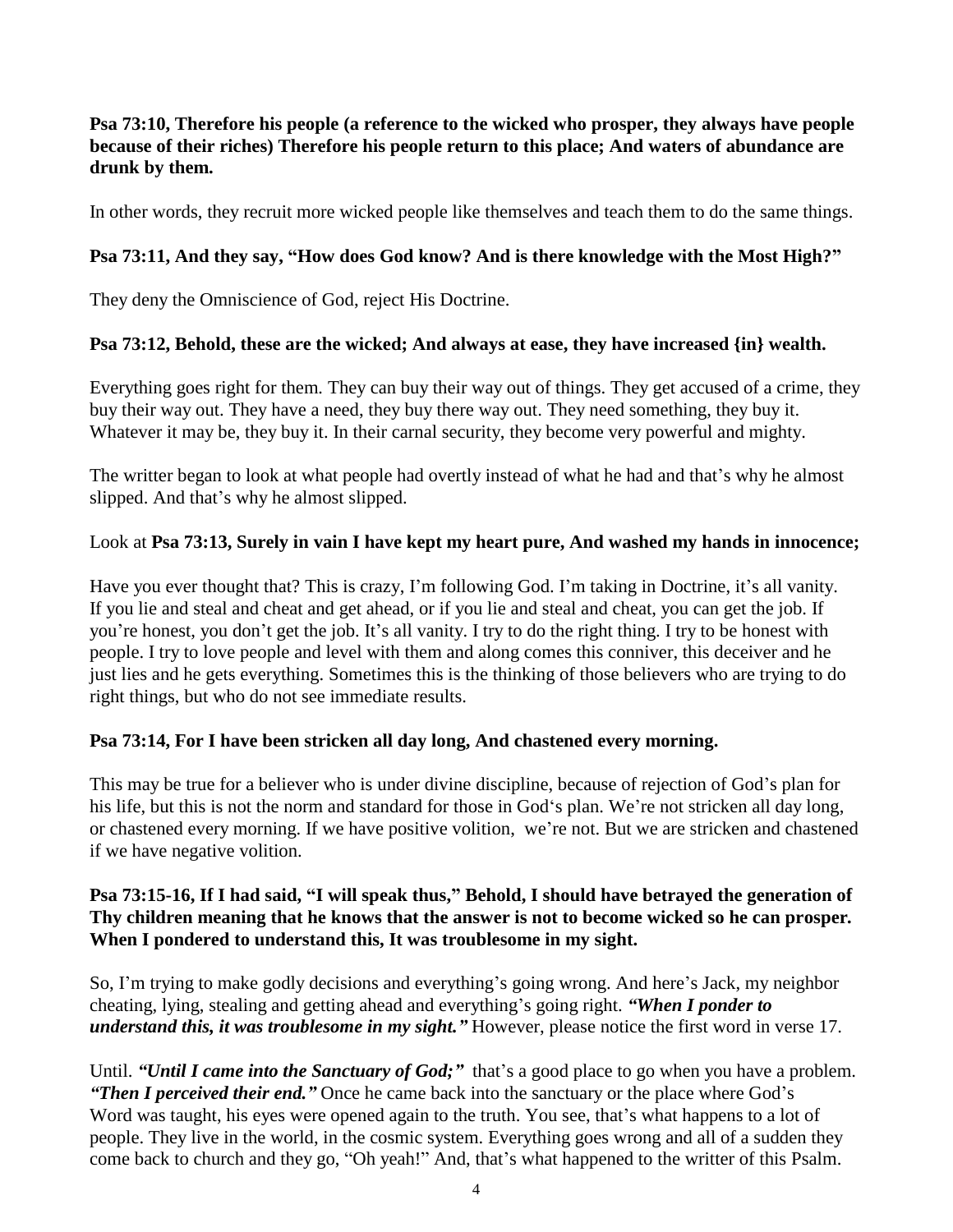## **Psa 73:10, Therefore his people (a reference to the wicked who prosper, they always have people because of their riches) Therefore his people return to this place; And waters of abundance are drunk by them.**

In other words, they recruit more wicked people like themselves and teach them to do the same things.

# **Psa 73:11, And they say, "How does God know? And is there knowledge with the Most High?"**

They deny the Omniscience of God, reject His Doctrine.

#### **Psa 73:12, Behold, these are the wicked; And always at ease, they have increased {in} wealth.**

Everything goes right for them*.* They can buy their way out of things. They get accused of a crime, they buy their way out. They have a need, they buy there way out. They need something, they buy it. Whatever it may be, they buy it. In their carnal security, they become very powerful and mighty.

The writter began to look at what people had overtly instead of what he had and that's why he almost slipped. And that's why he almost slipped.

#### Look at **Psa 73:13, Surely in vain I have kept my heart pure, And washed my hands in innocence;**

Have you ever thought that? This is crazy, I'm following God. I'm taking in Doctrine, it's all vanity. If you lie and steal and cheat and get ahead, or if you lie and steal and cheat, you can get the job. If you're honest, you don't get the job. It's all vanity. I try to do the right thing. I try to be honest with people. I try to love people and level with them and along comes this conniver, this deceiver and he just lies and he gets everything. Sometimes this is the thinking of those believers who are trying to do right things, but who do not see immediate results.

#### **Psa 73:14, For I have been stricken all day long, And chastened every morning.**

This may be true for a believer who is under divine discipline, because of rejection of God's plan for his life, but this is not the norm and standard for those in God's plan. We're not stricken all day long, or chastened every morning. If we have positive volition, we're not. But we are stricken and chastened if we have negative volition.

#### **Psa 73:15-16, If I had said, "I will speak thus," Behold, I should have betrayed the generation of Thy children meaning that he knows that the answer is not to become wicked so he can prosper***.* **When I pondered to understand this, It was troublesome in my sight.**

So, I'm trying to make godly decisions and everything's going wrong. And here's Jack, my neighbor cheating, lying, stealing and getting ahead and everything's going right. *"When I ponder to understand this, it was troublesome in my sight."* However, please notice the first word in verse 17.

Until. *"Until I came into the Sanctuary of God;"* that's a good place to go when you have a problem. *"Then I perceived their end."* Once he came back into the sanctuary or the place where God's Word was taught, his eyes were opened again to the truth. You see, that's what happens to a lot of people. They live in the world, in the cosmic system. Everything goes wrong and all of a sudden they come back to church and they go, "Oh yeah!" And, that's what happened to the writter of this Psalm.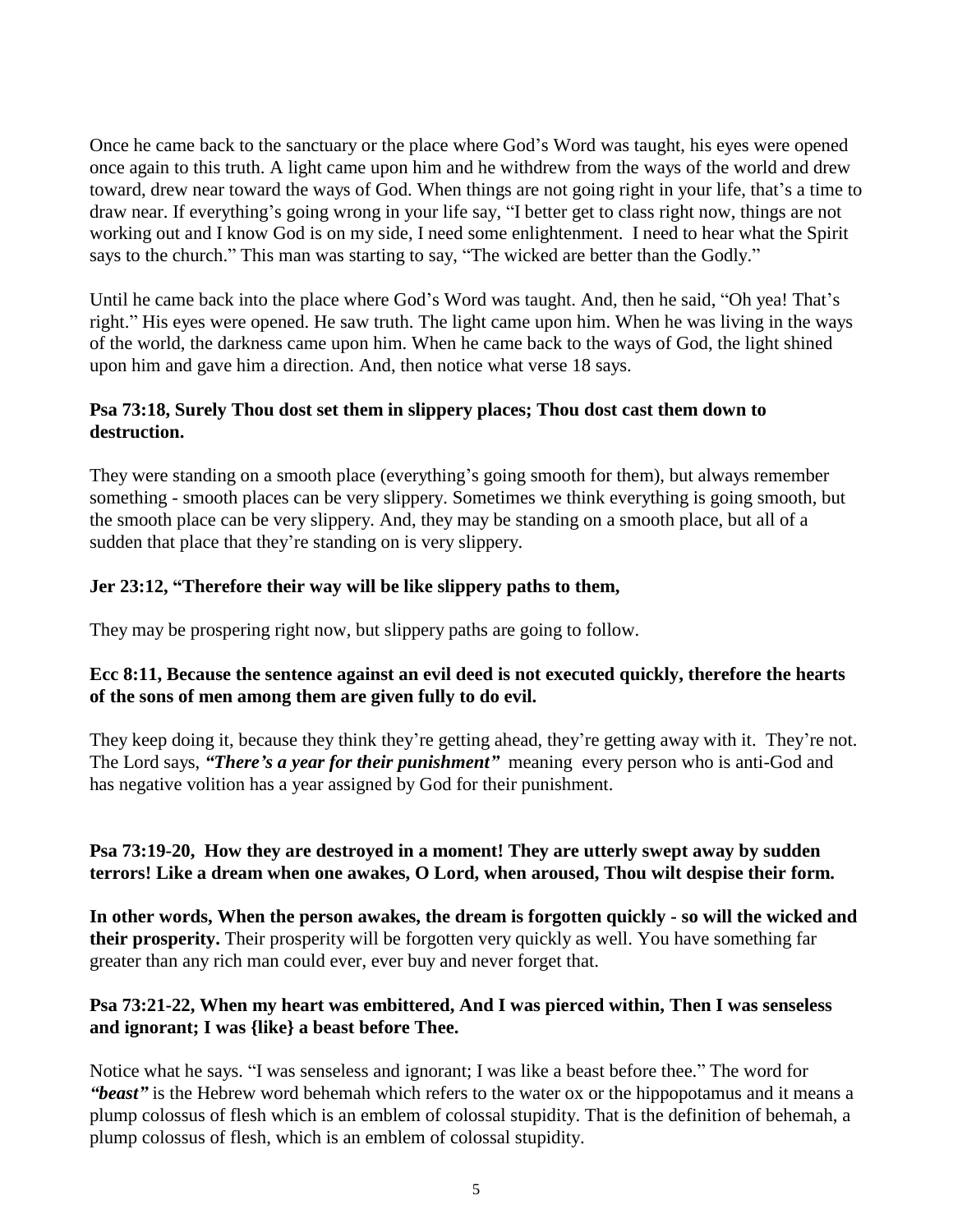Once he came back to the sanctuary or the place where God's Word was taught, his eyes were opened once again to this truth. A light came upon him and he withdrew from the ways of the world and drew toward, drew near toward the ways of God. When things are not going right in your life, that's a time to draw near. If everything's going wrong in your life say, "I better get to class right now, things are not working out and I know God is on my side, I need some enlightenment. I need to hear what the Spirit says to the church." This man was starting to say, "The wicked are better than the Godly."

Until he came back into the place where God's Word was taught. And, then he said, "Oh yea! That's right." His eyes were opened. He saw truth. The light came upon him. When he was living in the ways of the world, the darkness came upon him. When he came back to the ways of God, the light shined upon him and gave him a direction. And, then notice what verse 18 says.

# **Psa 73:18, Surely Thou dost set them in slippery places; Thou dost cast them down to destruction.**

They were standing on a smooth place (everything's going smooth for them), but always remember something - smooth places can be very slippery. Sometimes we think everything is going smooth, but the smooth place can be very slippery. And, they may be standing on a smooth place, but all of a sudden that place that they're standing on is very slippery.

# **Jer 23:12, "Therefore their way will be like slippery paths to them,**

They may be prospering right now, but slippery paths are going to follow.

# **Ecc 8:11, Because the sentence against an evil deed is not executed quickly, therefore the hearts of the sons of men among them are given fully to do evil.**

They keep doing it, because they think they're getting ahead, they're getting away with it. They're not. The Lord says, *"There's a year for their punishment"* meaning every person who is anti-God and has negative volition has a year assigned by God for their punishment.

# **Psa 73:19-20, How they are destroyed in a moment! They are utterly swept away by sudden terrors! Like a dream when one awakes, O Lord, when aroused, Thou wilt despise their form.**

**In other words, When the person awakes, the dream is forgotten quickly - so will the wicked and their prosperity.** Their prosperity will be forgotten very quickly as well. You have something far greater than any rich man could ever, ever buy and never forget that.

# **Psa 73:21-22, When my heart was embittered, And I was pierced within, Then I was senseless and ignorant; I was {like} a beast before Thee.**

Notice what he says. "I was senseless and ignorant; I was like a beast before thee." The word for *"beast"* is the Hebrew word behemah which refers to the water ox or the hippopotamus and it means a plump colossus of flesh which is an emblem of colossal stupidity. That is the definition of behemah, a plump colossus of flesh, which is an emblem of colossal stupidity.